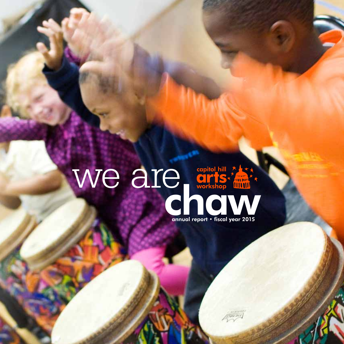## we are W WORKShop HINNIN<br>
Gannual report • fiscal year 2015 capitol hill **arts** workshop annual report • fiscal year 2015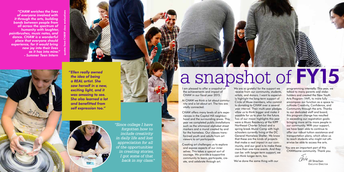We are so grateful for the support we receive from our community, students, artists, and donors. I want to especially highlight the long-term support of Circle of Muse members, who commit to donating to CHAW over a several year interval. Their multi-year pledges allow us to think bigger and make it possible for us to plan for the future. Two of our major highlights this year were a Music Residency at the KIPP Northeast Charter School and a spring break Mural Camp with high schoolers currently living at the DC General Homeless Shelter. We know that these are the kinds of projects that make a real impact in our community, and our goal is to make these more than one-time events. And they can be: with longer-term support, we can think longer-term, too.

At CHAW we think a lot about community and a lot about art. The two are vitally connected.

We've done the same thing with our

I am pleased to offer a snapshot of the achievements and impact of CHAW in our fiscal year 2015.

CHAW offers many levels of arts experiences in the Capitol Hill neighborhood and the surrounding areas. This year we completed public installations such as the whimsical alphabet street markers and a mural created by and for the homeless. Our classes transformed youth and adults from art viewers to art participants.

Creating art challenges us to explore and expose aspects of our inner selves. This takes a special sort of courage. We provide a supportive community to learn, participate, create, and celebrate through art.

programming internally. This year, we talked to many parents and stakeholders and created the New Youth Arts Program (YAP), to more fully encompass our function as a space to cultivate Creativity, Confidence, and Community through the arts. Thanks to our dedicated staff and board, this program change has resulted in exceeding our registration goals: bringing more art to more people in our community. With your support, we have been able to continue to offer our robust tuition assistance and transportation plans, which allow us to reach students who might not otherwise be able to access the arts.

You are an important part of this CHAWsome community. Thank you.

Jill Strachan Executive Director

a snapshot of FY15

*"CHAW enriches the lives of everyone involved with it through the arts, building bonds between people from all across the spectrum of humanity with laughter, paintbrushes, music notes, and dance. CHAW is a wonderful place that everyone should experience, for it would bring new joy into their lives as it has into mine. " - Summer Teen Intern* 

> *"Since college I have forgotten how to include creativity in daily life and lost appreciation for all of the opportunities in creating stories, I got some of that back in my class."*



*Ellen really owned " the idea of being a REAL artist. She saw herself in a new, exciting light, and it was amazing to see. She also learned a lot and benefitted from self expression too."*



quotes from CHAW class evaluations

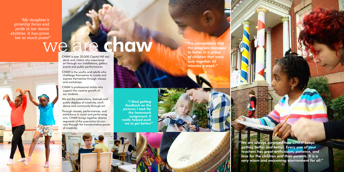*"My daughter's growing focus and pride in her dance abilities. It has given her so much poise!"*

# ISBE!"<br>
We are all control Hill resi-



CHAW is over 20,000 Capitol Hill resi dents and visitors who experience art through our installations, gallery events and public performances.

We are the celebrations, festivals and public displays of creativity, confidence and community through art.

CHAW is the youths and adults who challenge themselves to create and express themselves through classes and workshops.

CHAW is professional artists who support the creative growth of our students.

Through classes, performances, and exhibitions in visual and performing arts, CHAW brings together diverse segments of the population to connect through the transformative power of creativity.

*"I liked getting feedback on the pictures I took for the homework assignment. It really helped push me to get better!"*

> *We are always surprised how CHAW keeps " getting better and better. Every one of your teachers has great enthusiasm, patience, and love for the children and their parents. It is a very warm and welcoming environment for all."*

*The camaraderie that "the program managed to foster in a group of children that were only together 45 minutes a week."*

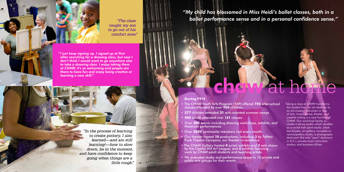## *"My child has blossomed in Miss Heidi's ballet classes, both in a ballet performance sense and in a personal confidence sense."*

### **During FY15**

- The CHAW Youth Arts Program (YAP) offered **192** after-school classes attended by over **900** children.
- **277** children attended **21** arts-oriented summer camps
- **400** adults attended over **121** classes
- Over **300** events including drawing workshops, exhibits, and theatrical performances.
- Over **2000** community members visit every month.
- Our theater hosted **10** productions, including **3** by Taffety Punk Theatre Company, our theater-in-residence.
- The CHAW Gallery hosted **4** juried exhibits and **3** solo shows by the Capitol Hill Art League; and **4** exhibits featuring work by CHAW adult students and teaching artists.
- We extended studio and performance space to 16 private and public arts groups for their events.

Taking a class at CHAW transforms the student from an art-observer to an art-creator. Instruction in visual arts, music, dance, theater, and creative writing is a core function of CHAW. Our workshop facility includes a dance studio–which doubles as a recital hall–paint studio, black box theater, art gallery, complete ceramics/pottery studio, a photography darkroom (the only "open" darkroom in D.C.), private music instruction studios, and business offices.

# chaw at home



*"The class taught my son to go out of his comfort zone."*

*I just keep signing up. I signed up at first " after searching for a drawing class, but now I don't think I would want to go anywhere else to take a drawing class. I enjoy taking them at CHAW; it's so welcoming and people are there to have fun and enjoy being creative or learning a new skill."*

> *"In the process of learning to create pottery, I also learned—and am still learning!—how to slow down, be in the moment, and have confidence to keep going when things are a little rough."*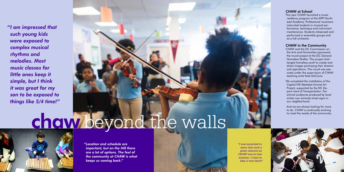*Location and schedule are " important, but on the Hill there are a lot of options. The feel of the community at CHAW is what keeps us coming back."*

### CHAW at School

This year CHAW launched a music residency program at the KIPP Northeast Academy. Professional musicians instructed students in musical performance, technique and instrument maintenance. Students rehearsed and performed in ensemble groups and as a full orchestra.

### CHAW in the Community

CHAW and the DC Commission on the Arts and Humanities sponsored the mural project at the DC General Homeless Shelter. The project challenged homeless youth to create and share images portraying their dreams and aspirations. The mural was executed under the supervision of CHAW teaching artist Kate DeCiccio.

We completed the installation of the Capitol Hill Alphabet Animal Art Project, supported by the DC Depart-ment of Transportation. Ten animal sculptures produced by local artists now animate street signs in our neighborhood.

 And we are always looking for more to do. CHAW is continually evolving to meet the needs of the community.



*I am impressed that " such young kids were exposed to complex musical rhythms and melodies. Most music classes for little ones keep it simple, but I think it was great for my son to be exposed to things like 5/4 time!"*

# chaw beyond the walls



*"I was surprised to learn that such a great resource as CHAW was in that location—I had no idea it was there!"*

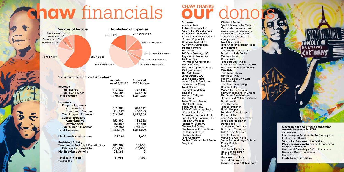Circle of Muses Special thanks to the Circle of Muses, who donate not just once a year, but pledge over three years to sustain the CHAW we know and love. Anonymous Frank S. Albinder Taka Ariga and Jeremy Ames John Bohman and Louise Van Horne David and Judy Bonior Matthew Brown Diana Bruce and Bart Oosterveld In Memory of Helen W. Carey Heidi & Manuel Charpentier Mike Belki and Jenny Cheek Patrick Crowley Robert & Bella Dihn-Zarr Bea Edwards and Franklin Morring Heather Foley Mark & Laurie Gillman Kelly Jones and Peter Grimm Phil Guire, Sarah Wilson, Josephine & Catherine Guire David Hamill Jane Hoffman and Jill Strachan Herrin Hopper Patricia & Chad Jackson Colleen Jolly Anna & Andrew Kompanek Tom & Sharee Lawler Deirdre and Andrew MacWilliams D. Richard Maurey Jr. Beth & Greg McHugh Jennifer Newton Maryam & Alex Nock Sarah Perz and Hugh Dobson Candy D. Schibli Linda Spector and Peter Jacobson Tip & Connie Tipton Linda B. Walker Noris Weiss Malvey Jenny & Eric Werwa Bella Dinh-Zarr & Robert Zarr



Acqua al Due Balkan Concepts, LLC Capitol Hill Dental Group Capitol Hill Yoga, INC Coldwell Banker Residential Broker, Capitol Hill Compass Real Estate CustomInk Campaigns Dantes Partners DC Access DC Brau Brewing, LLC Eng Garcia Properties First Savings Mortgage Corporation Frame of Mine Fulcrum Properties Group Ginkgo Gardens Hill Auto Repair Jems Optical, LLC Joel Nelson Group John P. Smith Real Estate Johnson Law Group Laird Norton Family Foundation Lavagna Monarch Title, Inc. Mr. Henry's Peter Grimm, Realtor The Smith Team Poppy Metals, LLC RE/MAX Advantage Realty Ken Milner, Realtor Schneider's of Capitol Hill Tech Painting Company, Inc. The Law Offices of James M. Loots PC The Menkiti Group The National Capital Bank of Washington, DC Thomas Jenkins and Company Topher Cushman Real Estate Waatime

### Statement of Financial Activities\*

|                                             | <b>Actuals</b><br>as of 8/31/15 | <b>Approved</b><br><b>FY15 Budget</b> |
|---------------------------------------------|---------------------------------|---------------------------------------|
| Revenue                                     |                                 |                                       |
| <b>Total Earned</b>                         | 713,322                         | 737,368                               |
| <b>Total Contributed</b>                    | 656,905                         | 574,600                               |
| <b>Total Revenue</b>                        | 1,370,227                       | 1,311,968                             |
| <b>Expenses</b>                             |                                 |                                       |
| <b>Program Expenses</b>                     |                                 |                                       |
| <b>Art Instruction</b>                      | 810,385                         | 818,519                               |
| <b>Community Programs</b>                   | 214,197                         | 207,345                               |
| <b>Total Program Expenses</b>               | 1,024,582                       | 1,025,864                             |
| <b>Support Expenses</b>                     |                                 |                                       |
| <b>Administrative</b>                       | 152,690                         | 134,968                               |
| <b>Development</b>                          | 157,109                         | 149,440                               |
| <b>Total Support Expenses</b>               | 309,800                         | 284,408                               |
| <b>Total Expenses</b>                       | 1,334,382                       | 1,310,272                             |
| <b>Net Unrestricted Income</b>              | 35,846                          | 1,696                                 |
| <b>Restricted Activity</b>                  |                                 |                                       |
| <b>Temporarily Restricted Contributions</b> | 182,289                         | 10,000                                |
| <b>Releases to Unrestricted</b>             | $-206,154$                      | $-10,000$                             |
| <b>Net Restricted Activity</b>              | $-23,865$                       | O                                     |
| <b>Total Net Income</b><br>*unaudited       | 11,981                          | 1,696                                 |

## CHAW THANKS<br>Consers CHAW THANKS

### Sponsors

### Government and Private Foundation Awards Received in FY15

Anonymous Bernard Myers Fund for the Performing Arts Brother Help Thyself Capitol Hill Community Foundation DC Commission on the Arts and Humanities Louise P. Zanar Fund Morris and Gwendolyn Cafritz Foundation Nationals Dream Foundation Share Fund Steele Family Foundation

## ahow financials

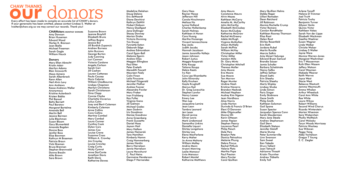**CHAWstars MONTHLY DONORS** Amy Dawson Brian Huseman Edward Wood Harley K. Branson Joan Biella Michael Freeman Sarah Gagle William Hauck

### Donors

Mary Ellen Abrecht Kristin Adair Marilyn Adams Blair Ainsworth Maya Ajmera Sarah Alkenbrack Kenn Allen Neil Alvin Levy Ann Andrews Kasse Andrews Weller Anonymous Kristine Aulenbach Kristen Babbs Phil Bansal Betty Barnett Paul Barstow Margaret Bartelme Amanda Bell Martin Bell Jessica Berman Julie Blechman Susan Bloom Gary Blumenfeld Amanda Bogden Donna Boss Jenifer Boss Elise Bowman Kathryn M Braeman Patricia Braun Vicki Breman Bruce Brennan Stephen Brennwald Donna Breslin Alita Brown Sara Brown

Suzanne Brown Jeanne Broyhill Elizabeth Bruns Jeffrey Bugno Jessica Bul Jill Burdick-Zupancic Andrew Burness John Burrows George Burton Judy Canning Lori Cannon Victoria Cardone Angela Carlson Sarah Carr Jill Cashen Lauren Cattaneo Paula Causey Doris Celarier William Chadbourne Lindsey Chapman Marilyn Christiano Sarah Christianson Gina Clapp Connie Clarke Charlotte Cluverius Julius Cohn Joey and Berit Coleman Kimberly Coleman Anne Collins Cora Collins Martine Combal Mary Combal Laura Conner Cynthia Cook Dylan Cors James Cox Louise Crane Suzanne Cross William A. Crowley Jim Crowley Louise Crowley Craig Curtis Nicky Cymrot Anne DarConte Jonathan Davis Keith Davis Katherine Dawes

Madeline Delahan Doug Delano Eric deWaardt Diane Dewhirst Kathryn DeWitt Hubert Dobson Nancy Doellgast Jane Dollinger Stacey Downey Marian Drake Victoria Dunning Tim Dwyer Fynnette Eaton Deborah Edge Andrea Edmundson Carol Egan-Ball Melanie Egorin Andrew Elias Meggan Ellingboe Paul Etter Peter Eveleth Meredith Fascett Maureen Feely Colin Finan Leila Finucane Michael Fitzgerald Jennifer Flather Andrea Fooner Alexandre Fowler Mary Fraker Ivan Frishberg Kay Fuller Virginia Gano Jill Gelman Michael Godec Jean Godwin Iris Goodman Denise Goodnow Anna Greenberg Frank Guzzetta Daniel Haas Jayson Hait Mary Hallam James Hamerski Tara Hamilton Kimberly Hamm Craig Hammerberg James Hardin Barry Harrelson Janne Harrelson Laura Hawxhurst C. Paul Heins Germaine Henderson Diego F Hernandez

Gary Hess Rayner Hesse Jefferson Hill Carole Hirschmann Melissa Ho Lynne Holland Charles Hollenkamp Sarah Holmes Kathleen A Horan Cara Huang Martha Huizenga Vincent Iannacchione Kay Jacks Judith Jacobs Hannah Jacobson Jamie Jaramillo-Vallejo Jason Johnson Robert Justus Maggie Kasperski Kitty Kaupp Tatiana Kaupp Debra Keats Ivy Ken Cora Lee Khambatta John Klinovsky Kelly Knutsen Gayle Krughoff Marcus Kyd Dr. Greg Lavecchia Stephen Lawlor Nancy Lazear Emery Lee Wan Lee Jacqueline Lemire Jean Leon Tambra Leonard Jen Lesar David Levine Oliver Lewis Mark Lindamood Samantha Linkins Danielle Liquori Shirley Longshore Shirley Loo Elena MacFarlane Kerry Maher Jo-Anne Mahony William Malley Andria Mann Aryani Manring Leslie Mansour Livia Mansour Robert Mantel Katharine Matthews

Amy Mauro Constance Mauro Alvin Mayes Kathleen McCarry Amelia M. McCarthy John McCarthy Elizabeth McCluskey Karen McCluskey Katherine McGraw Rachel McGreevy Adele McHugh Virginia McMullan Alison McNally Sarah McPhie William McVay Christopher Miller Victor Miller Aaralyn Mills Dr. Gary Mintz Christopher Mitchell Theresa Moller Amy Moore Eva Moore Sue Moore Ten Morrow Roger Munter Undine Nash Kristine Navarro Brandon Nedwek Michael Nephew Audrey Kim Ngeow Jean Nordhaus Alice Norris Linda Norton Durinda & Francis O'Brien Eleni O'Donovan Mike Oligmueller Donna Oti Karin Ottesen James Papian Stephen Pearcy Laurence Pearl Philip Peisch Dale Perz Breelyn Pete Danica Petroshius Melanie Phung Debra Pincus Rachel Pittluck Valerie Platz Martha Pope Paul Preston Mary Procter Carol Quillian

Mary Quillian Helms Debby Rager Lillian Ramsden Dean Reichard Jill Robinson Monica Rochelle Crump Victor Romero Carolyn Rondthaler Kathleen Rooney Thomson Elisa Root Helen Root Shirley Rosenfeld Erin Roth Jordana Rubel Martin Rundle Marcia Salkin Amy Minert Salunga Edward Bryan Samuel Brandie Sasser Jamie Schafer Barbara Schelstrate Nancy Sefko Jeffrey Seltzer Shanti Sethi Erin Sheehy Patricia Sheehy Marty Shipley Lindsay Shuba Linda Simon Paris Singer Emily Skidmore Gene Smith Philip Smith Kathleen Solomon Gail Spane Susan Spector Jacquelyn Spence Conn Sarah Stauderman Mary Jane Steele Andrew Stephenson Gail Stern Elizabeth Stetson Jennifer Stoloff Marie Stump Peter Summerville Linn Swanson Sam Sweet Ken Takeda Drury Tallant Joan Tetrault Adrianne Threatt Kristin Thurnher Andrew Tibbetts Emily Toll

Arlene Tonoff Helena D Trimmer Joel Truitt Patricia Tuohy Benjamin Turner Allyson Vento Quiros Victor Kathleen Vokes Sarah Von der Lippe Elisabeth Wackman Geetha Waehrer Susan Wagner Linda Walker Christie Walser Lindsey S Walter Jayne Ware Monica Warren-Jones Margaret Washnitzer Eric T Wasserman Ruth Ellen Wasem Jeffery Watson Carol Wayman Makeda Weaver Keith Werwa Joyce West Stacie West Rebecca Westcott Jemma Weymouth Emma Whalan Arthur Wheelock Carol Ann White Rae White Laura Wilcox Robert Williams Second Wind Chorus Ricardo Winterstein Marian Wiseman Sara Wiskerchen Phyllis Wolfteich Carol Wolosky Taryn Woods Morrissey Patricia Woolsey Sue Wrbican Peggy Yang Abby Yochelson Gregor T Young E. C. Ziegler

## **CHAW THANKS COONORS**

Every effort has been made to compile an accurate list of CHAW's donors. If your generosity has been omitted, please contact Lindsey S. Walter at lwalter@chaw.org so we may correct our records. Thank you!